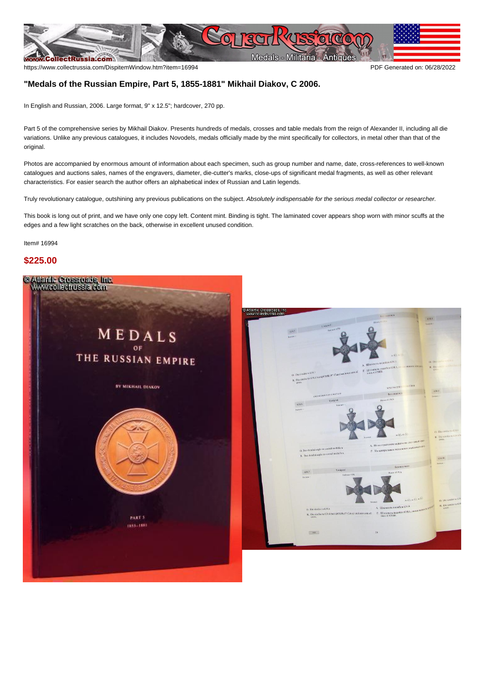

## **"Medals of the Russian Empire, Part 5, 1855-1881" Mikhail Diakov, C 2006.**

In English and Russian, 2006. Large format, 9" x 12.5"; hardcover, 270 pp.

Part 5 of the comprehensive series by Mikhail Diakov. Presents hundreds of medals, crosses and table medals from the reign of Alexander II, including all die variations. Unlike any previous catalogues, it includes Novodels, medals officially made by the mint specifically for collectors, in metal other than that of the original.

Photos are accompanied by enormous amount of information about each specimen, such as group number and name, date, cross-references to well-known catalogues and auctions sales, names of the engravers, diameter, die-cutter's marks, close-ups of significant medal fragments, as well as other relevant characteristics. For easier search the author offers an alphabetical index of Russian and Latin legends.

Truly revolutionary catalogue, outshining any previous publications on the subject. Absolutely indispensable for the serious medal collector or researcher.

This book is long out of print, and we have only one copy left. Content mint. Binding is tight. The laminated cover appears shop worn with minor scuffs at the edges and a few light scratches on the back, otherwise in excellent unused condition.

Item# 16994

## **\$225.00**



**SED**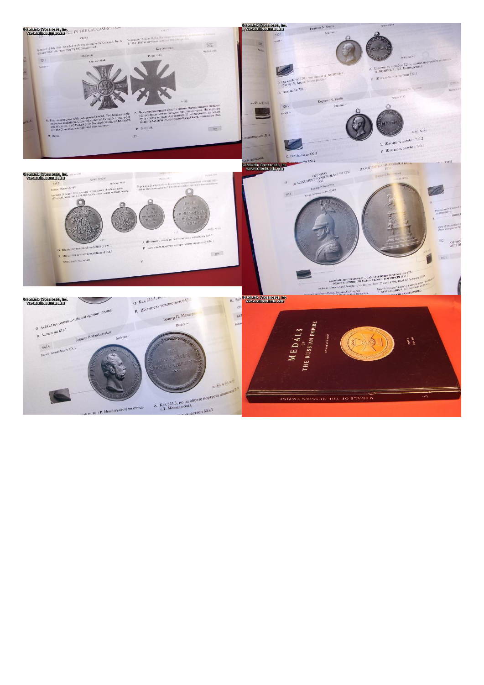